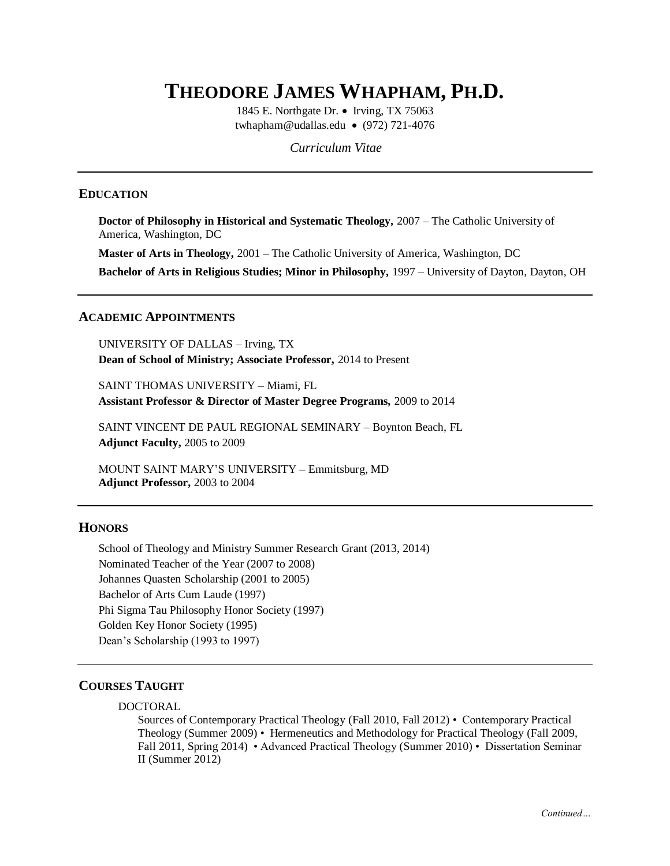# **THEODORE JAMES WHAPHAM, PH.D.**

1845 E. Northgate Dr. • Irving, TX 75063 twhapham@udallas.edu • (972) 721-4076

*Curriculum Vitae*

## **EDUCATION**

**Doctor of Philosophy in Historical and Systematic Theology,** 2007 – The Catholic University of America, Washington, DC

**Master of Arts in Theology,** 2001 – The Catholic University of America, Washington, DC

**Bachelor of Arts in Religious Studies; Minor in Philosophy,** 1997 – University of Dayton, Dayton, OH

#### **ACADEMIC APPOINTMENTS**

UNIVERSITY OF DALLAS – Irving, TX **Dean of School of Ministry; Associate Professor,** 2014 to Present

SAINT THOMAS UNIVERSITY – Miami, FL **Assistant Professor & Director of Master Degree Programs,** 2009 to 2014

SAINT VINCENT DE PAUL REGIONAL SEMINARY – Boynton Beach, FL **Adjunct Faculty,** 2005 to 2009

MOUNT SAINT MARY'S UNIVERSITY – Emmitsburg, MD **Adjunct Professor,** 2003 to 2004

#### **HONORS**

School of Theology and Ministry Summer Research Grant (2013, 2014) Nominated Teacher of the Year (2007 to 2008) Johannes Quasten Scholarship (2001 to 2005) Bachelor of Arts Cum Laude (1997) Phi Sigma Tau Philosophy Honor Society (1997) Golden Key Honor Society (1995) Dean's Scholarship (1993 to 1997)

# **COURSES TAUGHT**

#### DOCTORAL

Sources of Contemporary Practical Theology (Fall 2010, Fall 2012) • Contemporary Practical Theology (Summer 2009) • Hermeneutics and Methodology for Practical Theology (Fall 2009, Fall 2011, Spring 2014) • Advanced Practical Theology (Summer 2010) • Dissertation Seminar II (Summer 2012)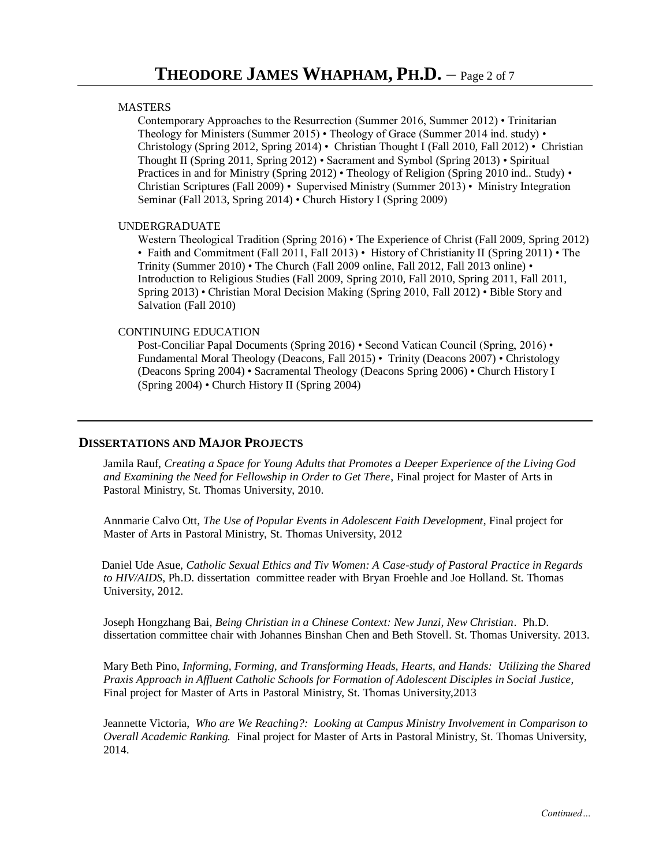#### **MASTERS**

Contemporary Approaches to the Resurrection (Summer 2016, Summer 2012) • Trinitarian Theology for Ministers (Summer 2015) • Theology of Grace (Summer 2014 ind. study) • Christology (Spring 2012, Spring 2014) • Christian Thought I (Fall 2010, Fall 2012) • Christian Thought II (Spring 2011, Spring 2012) • Sacrament and Symbol (Spring 2013) • Spiritual Practices in and for Ministry (Spring 2012) • Theology of Religion (Spring 2010 ind.. Study) • Christian Scriptures (Fall 2009) • Supervised Ministry (Summer 2013) • Ministry Integration Seminar (Fall 2013, Spring 2014) • Church History I (Spring 2009)

#### UNDERGRADUATE

Western Theological Tradition (Spring 2016) • The Experience of Christ (Fall 2009, Spring 2012) • Faith and Commitment (Fall 2011, Fall 2013) • History of Christianity II (Spring 2011) • The Trinity (Summer 2010) • The Church (Fall 2009 online, Fall 2012, Fall 2013 online) • Introduction to Religious Studies (Fall 2009, Spring 2010, Fall 2010, Spring 2011, Fall 2011, Spring 2013) • Christian Moral Decision Making (Spring 2010, Fall 2012) • Bible Story and Salvation (Fall 2010)

#### CONTINUING EDUCATION

Post-Conciliar Papal Documents (Spring 2016) • Second Vatican Council (Spring, 2016) • Fundamental Moral Theology (Deacons, Fall 2015) • Trinity (Deacons 2007) • Christology (Deacons Spring 2004) • Sacramental Theology (Deacons Spring 2006) • Church History I (Spring 2004) • Church History II (Spring 2004)

### **DISSERTATIONS AND MAJOR PROJECTS**

Jamila Rauf, *Creating a Space for Young Adults that Promotes a Deeper Experience of the Living God and Examining the Need for Fellowship in Order to Get There*, Final project for Master of Arts in Pastoral Ministry, St. Thomas University, 2010.

Annmarie Calvo Ott, *The Use of Popular Events in Adolescent Faith Development*, Final project for Master of Arts in Pastoral Ministry, St. Thomas University, 2012

Daniel Ude Asue, *Catholic Sexual Ethics and Tiv Women: A Case-study of Pastoral Practice in Regards to HIV/AIDS*, Ph.D. dissertation committee reader with Bryan Froehle and Joe Holland. St. Thomas University, 2012.

Joseph Hongzhang Bai, *Being Christian in a Chinese Context: New Junzi, New Christian*. Ph.D. dissertation committee chair with Johannes Binshan Chen and Beth Stovell. St. Thomas University. 2013.

Mary Beth Pino, *Informing, Forming, and Transforming Heads, Hearts, and Hands: Utilizing the Shared Praxis Approach in Affluent Catholic Schools for Formation of Adolescent Disciples in Social Justice*, Final project for Master of Arts in Pastoral Ministry, St. Thomas University,2013

Jeannette Victoria, *Who are We Reaching?: Looking at Campus Ministry Involvement in Comparison to Overall Academic Ranking.* Final project for Master of Arts in Pastoral Ministry, St. Thomas University, 2014.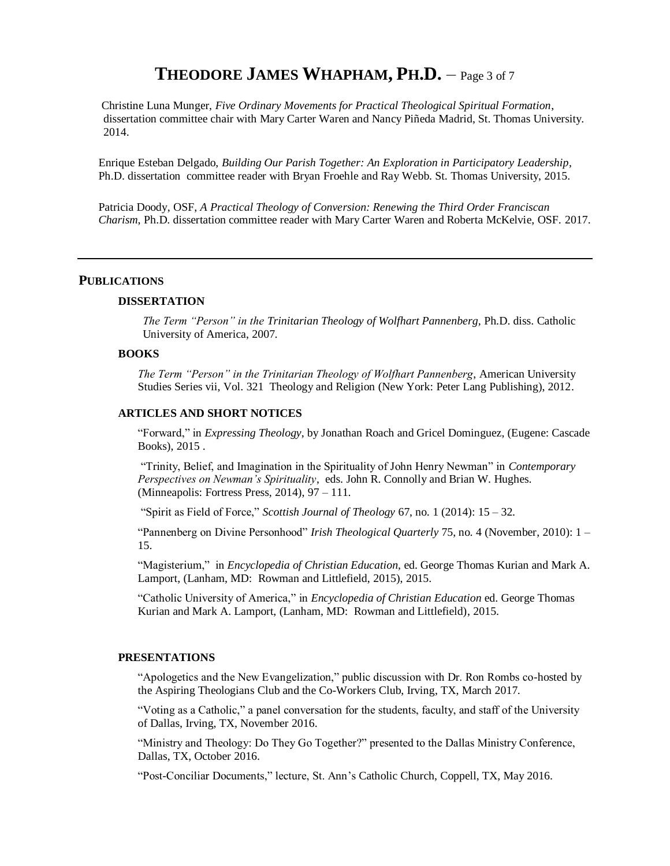# **THEODORE JAMES WHAPHAM, PH.D.** – Page 3 of 7

Christine Luna Munger, *Five Ordinary Movements for Practical Theological Spiritual Formation*, dissertation committee chair with Mary Carter Waren and Nancy Piñeda Madrid, St. Thomas University. 2014.

Enrique Esteban Delgado, *Building Our Parish Together: An Exploration in Participatory Leadership*, Ph.D. dissertation committee reader with Bryan Froehle and Ray Webb. St. Thomas University, 2015.

Patricia Doody, OSF, *A Practical Theology of Conversion: Renewing the Third Order Franciscan Charism*, Ph.D. dissertation committee reader with Mary Carter Waren and Roberta McKelvie, OSF. 2017.

#### **PUBLICATIONS**

#### **DISSERTATION**

*The Term "Person" in the Trinitarian Theology of Wolfhart Pannenberg,* Ph.D. diss. Catholic University of America, 2007.

#### **BOOKS**

*The Term "Person" in the Trinitarian Theology of Wolfhart Pannenberg*, American University Studies Series vii, Vol. 321 Theology and Religion (New York: Peter Lang Publishing), 2012.

#### **ARTICLES AND SHORT NOTICES**

"Forward," in *Expressing Theology*, by Jonathan Roach and Gricel Dominguez, (Eugene: Cascade Books), 2015 .

"Trinity, Belief, and Imagination in the Spirituality of John Henry Newman" in *Contemporary Perspectives on Newman's Spirituality*, eds. John R. Connolly and Brian W. Hughes. (Minneapolis: Fortress Press, 2014), 97 – 111.

"Spirit as Field of Force," *Scottish Journal of Theology* 67, no. 1 (2014): 15 – 32.

"Pannenberg on Divine Personhood" *Irish Theological Quarterly* 75, no. 4 (November, 2010): 1 – 15.

"Magisterium," in *Encyclopedia of Christian Education*, ed. George Thomas Kurian and Mark A. Lamport, (Lanham, MD: Rowman and Littlefield, 2015), 2015.

"Catholic University of America," in *Encyclopedia of Christian Education* ed. George Thomas Kurian and Mark A. Lamport, (Lanham, MD: Rowman and Littlefield), 2015.

#### **PRESENTATIONS**

"Apologetics and the New Evangelization," public discussion with Dr. Ron Rombs co-hosted by the Aspiring Theologians Club and the Co-Workers Club, Irving, TX, March 2017.

"Voting as a Catholic," a panel conversation for the students, faculty, and staff of the University of Dallas, Irving, TX, November 2016.

"Ministry and Theology: Do They Go Together?" presented to the Dallas Ministry Conference, Dallas, TX, October 2016.

"Post-Conciliar Documents," lecture, St. Ann's Catholic Church, Coppell, TX, May 2016.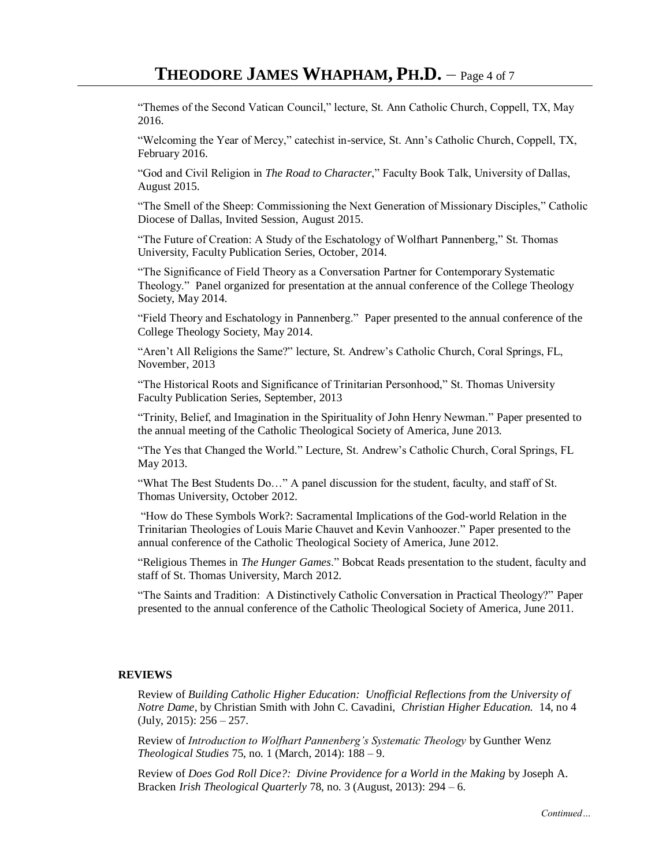"Themes of the Second Vatican Council," lecture, St. Ann Catholic Church, Coppell, TX, May 2016.

"Welcoming the Year of Mercy," catechist in-service, St. Ann's Catholic Church, Coppell, TX, February 2016.

"God and Civil Religion in *The Road to Character*," Faculty Book Talk, University of Dallas, August 2015.

"The Smell of the Sheep: Commissioning the Next Generation of Missionary Disciples," Catholic Diocese of Dallas, Invited Session, August 2015.

"The Future of Creation: A Study of the Eschatology of Wolfhart Pannenberg," St. Thomas University, Faculty Publication Series, October, 2014.

"The Significance of Field Theory as a Conversation Partner for Contemporary Systematic Theology." Panel organized for presentation at the annual conference of the College Theology Society, May 2014.

"Field Theory and Eschatology in Pannenberg." Paper presented to the annual conference of the College Theology Society, May 2014.

"Aren't All Religions the Same?" lecture, St. Andrew's Catholic Church, Coral Springs, FL, November, 2013

"The Historical Roots and Significance of Trinitarian Personhood," St. Thomas University Faculty Publication Series, September, 2013

"Trinity, Belief, and Imagination in the Spirituality of John Henry Newman." Paper presented to the annual meeting of the Catholic Theological Society of America, June 2013.

"The Yes that Changed the World." Lecture, St. Andrew's Catholic Church, Coral Springs, FL May 2013.

"What The Best Students Do…" A panel discussion for the student, faculty, and staff of St. Thomas University, October 2012.

"How do These Symbols Work?: Sacramental Implications of the God-world Relation in the Trinitarian Theologies of Louis Marie Chauvet and Kevin Vanhoozer." Paper presented to the annual conference of the Catholic Theological Society of America, June 2012.

"Religious Themes in *The Hunger Games*." Bobcat Reads presentation to the student, faculty and staff of St. Thomas University, March 2012.

"The Saints and Tradition: A Distinctively Catholic Conversation in Practical Theology?" Paper presented to the annual conference of the Catholic Theological Society of America, June 2011.

#### **REVIEWS**

Review of *Building Catholic Higher Education: Unofficial Reflections from the University of Notre Dame*, by Christian Smith with John C. Cavadini, *Christian Higher Education.* 14, no 4  $(\text{July}, 2015): 256 - 257.$ 

Review of *Introduction to Wolfhart Pannenberg's Systematic Theology* by Gunther Wenz *Theological Studies* 75, no. 1 (March, 2014): 188 – 9.

Review of *Does God Roll Dice?: Divine Providence for a World in the Making* by Joseph A. Bracken *Irish Theological Quarterly* 78, no. 3 (August, 2013): 294 – 6.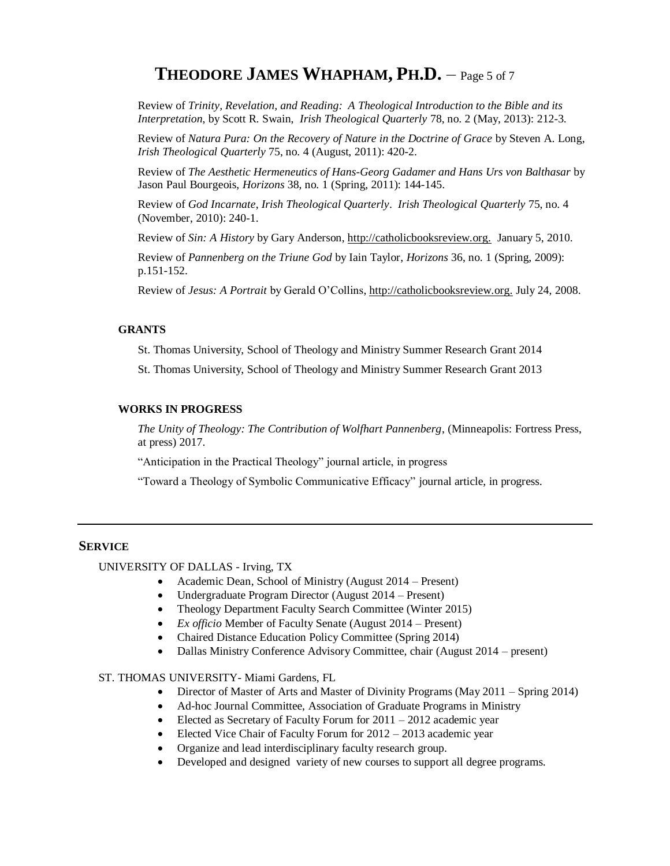# **THEODORE JAMES WHAPHAM, PH.D.** – Page 5 of 7

Review of *Trinity, Revelation, and Reading: A Theological Introduction to the Bible and its Interpretation*, by Scott R. Swain, *Irish Theological Quarterly* 78, no. 2 (May, 2013): 212-3.

Review of *Natura Pura: On the Recovery of Nature in the Doctrine of Grace* by Steven A. Long, *Irish Theological Quarterly* 75, no. 4 (August, 2011): 420-2.

Review of *The Aesthetic Hermeneutics of Hans-Georg Gadamer and Hans Urs von Balthasar* by Jason Paul Bourgeois, *Horizons* 38, no. 1 (Spring, 2011): 144-145.

Review of *God Incarnate*, *Irish Theological Quarterly*. *Irish Theological Quarterly* 75, no. 4 (November, 2010): 240-1.

Review of *Sin: A History* by Gary Anderson, http://catholicbooksreview.org. January 5, 2010.

Review of *Pannenberg on the Triune God* by Iain Taylor, *Horizons* 36, no. 1 (Spring, 2009): p.151-152.

Review of *Jesus: A Portrait* by Gerald O'Collins, http://catholicbooksreview.org. July 24, 2008.

#### **GRANTS**

St. Thomas University, School of Theology and Ministry Summer Research Grant 2014

St. Thomas University, School of Theology and Ministry Summer Research Grant 2013

### **WORKS IN PROGRESS**

*The Unity of Theology: The Contribution of Wolfhart Pannenberg*, (Minneapolis: Fortress Press, at press) 2017.

"Anticipation in the Practical Theology" journal article, in progress

"Toward a Theology of Symbolic Communicative Efficacy" journal article, in progress.

# **SERVICE**

UNIVERSITY OF DALLAS - Irving, TX

- Academic Dean, School of Ministry (August 2014 Present)
- Undergraduate Program Director (August 2014 Present)
- Theology Department Faculty Search Committee (Winter 2015)
- *Ex officio* Member of Faculty Senate (August 2014 Present)
- Chaired Distance Education Policy Committee (Spring 2014)
- Dallas Ministry Conference Advisory Committee, chair (August 2014 present)

#### ST. THOMAS UNIVERSITY- Miami Gardens, FL

- Director of Master of Arts and Master of Divinity Programs (May 2011 Spring 2014)
- Ad-hoc Journal Committee, Association of Graduate Programs in Ministry
- Elected as Secretary of Faculty Forum for  $2011 2012$  academic year
- Elected Vice Chair of Faculty Forum for  $2012 2013$  academic year
- Organize and lead interdisciplinary faculty research group.
- Developed and designed variety of new courses to support all degree programs.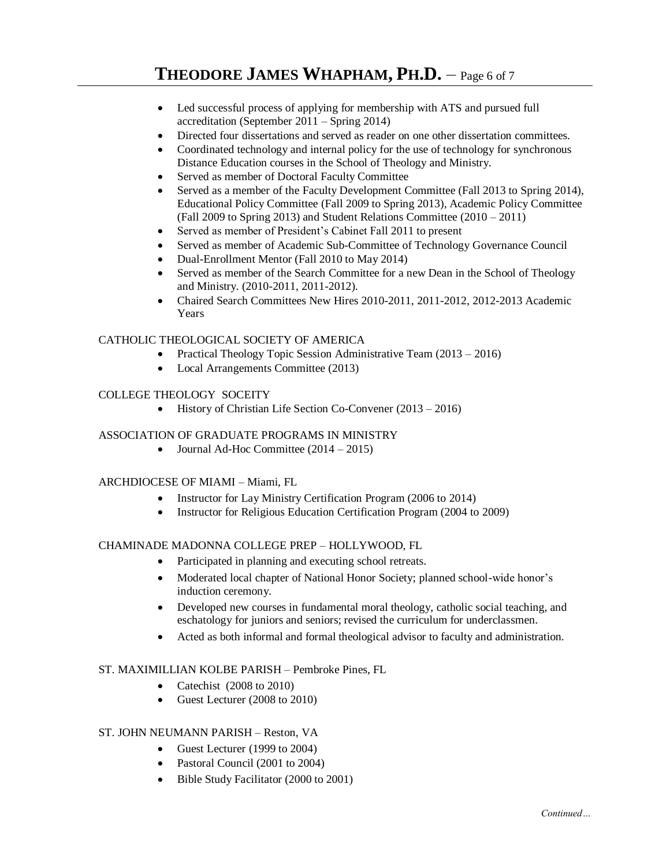- Led successful process of applying for membership with ATS and pursued full accreditation (September 2011 – Spring 2014)
- Directed four dissertations and served as reader on one other dissertation committees.
- Coordinated technology and internal policy for the use of technology for synchronous Distance Education courses in the School of Theology and Ministry.
- Served as member of Doctoral Faculty Committee
- Served as a member of the Faculty Development Committee (Fall 2013 to Spring 2014), Educational Policy Committee (Fall 2009 to Spring 2013), Academic Policy Committee (Fall 2009 to Spring 2013) and Student Relations Committee (2010 – 2011)
- Served as member of President's Cabinet Fall 2011 to present
- Served as member of Academic Sub-Committee of Technology Governance Council
- Dual-Enrollment Mentor (Fall 2010 to May 2014)
- Served as member of the Search Committee for a new Dean in the School of Theology and Ministry. (2010-2011, 2011-2012).
- Chaired Search Committees New Hires 2010-2011, 2011-2012, 2012-2013 Academic Years

# CATHOLIC THEOLOGICAL SOCIETY OF AMERICA

- Practical Theology Topic Session Administrative Team (2013 2016)
- Local Arrangements Committee (2013)

# COLLEGE THEOLOGY SOCEITY

• History of Christian Life Section Co-Convener (2013 – 2016)

# ASSOCIATION OF GRADUATE PROGRAMS IN MINISTRY

• Journal Ad-Hoc Committee  $(2014 – 2015)$ 

# ARCHDIOCESE OF MIAMI – Miami, FL

- Instructor for Lay Ministry Certification Program (2006 to 2014)
- Instructor for Religious Education Certification Program (2004 to 2009)

# CHAMINADE MADONNA COLLEGE PREP – HOLLYWOOD, FL

- Participated in planning and executing school retreats.
- Moderated local chapter of National Honor Society; planned school-wide honor's induction ceremony.
- Developed new courses in fundamental moral theology, catholic social teaching, and eschatology for juniors and seniors; revised the curriculum for underclassmen.
- Acted as both informal and formal theological advisor to faculty and administration.

# ST. MAXIMILLIAN KOLBE PARISH – Pembroke Pines, FL

- Catechist (2008 to 2010)
- Guest Lecturer (2008 to 2010)

# ST. JOHN NEUMANN PARISH – Reston, VA

- Guest Lecturer (1999 to 2004)
- Pastoral Council (2001 to 2004)
- Bible Study Facilitator (2000 to 2001)